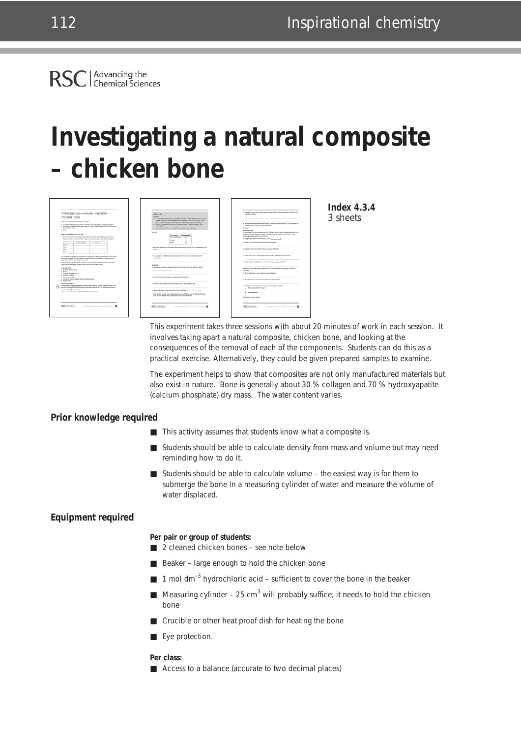**RSC** 

Advancing the<br>
Chemical Sciences

# **Investigating a natural composite – chicken bone**



**Index 4.3.4** 3 sheets

This experiment takes three sessions with about 20 minutes of work in each session. It involves taking apart a natural composite, chicken bone, and looking at the consequences of the removal of each of the components. Students can do this as a practical exercise. Alternatively, they could be given prepared samples to examine.

The experiment helps to show that composites are not only manufactured materials but also exist in nature. Bone is generally about 30 % collagen and 70 % hydroxyapatite (calcium phosphate) dry mass. The water content varies.

## **Prior knowledge required**

- This activity assumes that students know what a composite is.
- Students should be able to calculate density from mass and volume but may need reminding how to do it.
- Students should be able to calculate volume the easiest way is for them to submerge the bone in a measuring cylinder of water and measure the volume of water displaced.

# **Equipment required**

#### **Per pair or group of students:**

- 2 cleaned chicken bones see note below
- Beaker large enough to hold the chicken bone
- $\blacksquare$  1 mol dm<sup>-3</sup> hydrochloric acid sufficient to cover the bone in the beaker
- Measuring cylinder  $-25$  cm<sup>3</sup> will probably suffice; it needs to hold the chicken bone
- Crucible or other heat proof dish for heating the bone
- Eye protection.

#### **Per class:**

■ Access to a balance (accurate to two decimal places)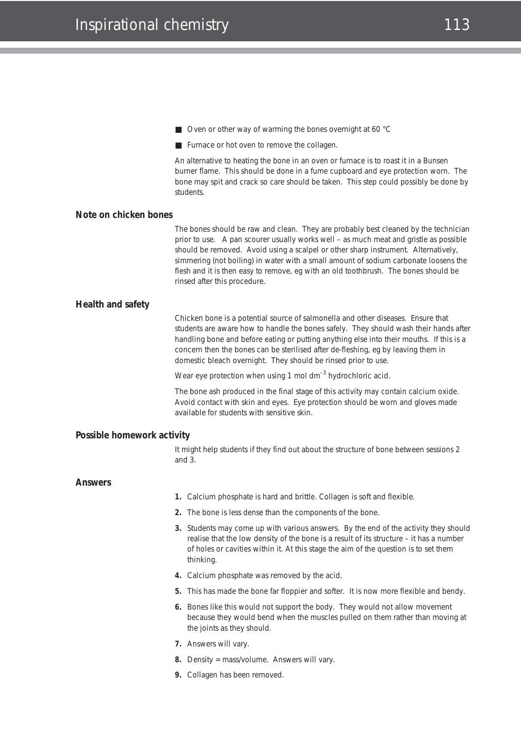- Oven or other way of warming the bones overnight at 60 °C
- Furnace or hot oven to remove the collagen.

An alternative to heating the bone in an oven or furnace is to roast it in a Bunsen burner flame. This should be done in a fume cupboard and eye protection worn. The bone may spit and crack so care should be taken. This step could possibly be done by students.

### **Note on chicken bones**

The bones should be raw and clean. They are probably best cleaned by the technician prior to use. A pan scourer usually works well – as much meat and gristle as possible should be removed. Avoid using a scalpel or other sharp instrument. Alternatively, simmering (not boiling) in water with a small amount of sodium carbonate loosens the flesh and it is then easy to remove, *eg* with an old toothbrush. The bones should be rinsed after this procedure.

### **Health and safety**

Chicken bone is a potential source of salmonella and other diseases. Ensure that students are aware how to handle the bones safely. They should wash their hands after handling bone and before eating or putting anything else into their mouths. If this is a concern then the bones can be sterilised after de-fleshing, *eg* by leaving them in domestic bleach overnight. They should be rinsed prior to use.

Wear eye protection when using 1 mol  $dm^{-3}$  hydrochloric acid.

The bone ash produced in the final stage of this activity may contain calcium oxide. Avoid contact with skin and eyes. Eye protection should be worn and gloves made available for students with sensitive skin.

### **Possible homework activity**

It might help students if they find out about the structure of bone between sessions 2 and 3.

### **Answers**

- **1.** Calcium phosphate is hard and brittle. Collagen is soft and flexible.
- **2.** The bone is less dense than the components of the bone.
- **3.** Students may come up with various answers. By the end of the activity they should realise that the low density of the bone is a result of its structure – it has a number of holes or cavities within it. At this stage the aim of the question is to set them thinking.
- **4.** Calcium phosphate was removed by the acid.
- **5.** This has made the bone far floppier and softer. It is now more flexible and bendy.
- **6.** Bones like this would not support the body. They would not allow movement because they would bend when the muscles pulled on them rather than moving at the joints as they should.
- **7.** Answers will vary.
- **8.** Density = mass/volume. Answers will vary.
- **9.** Collagen has been removed.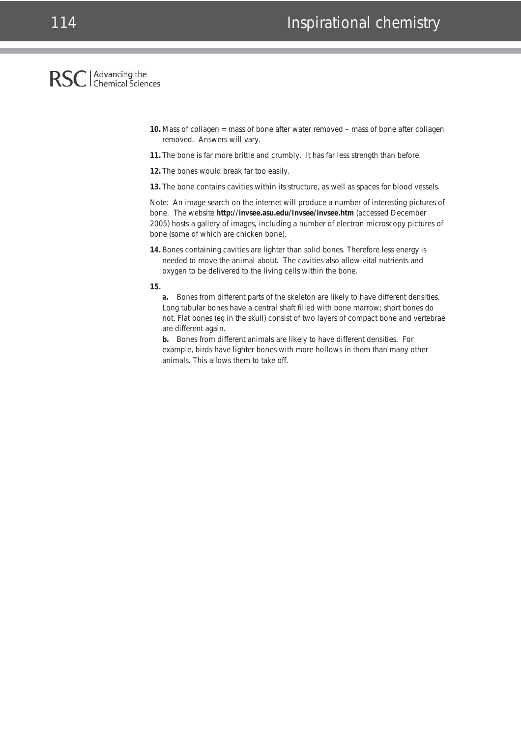# RSC | Advancing the

- **10.** Mass of collagen = mass of bone after water removed mass of bone after collagen removed. Answers will vary.
- **11.** The bone is far more brittle and crumbly. It has far less strength than before.
- **12.** The bones would break far too easily.
- **13.** The bone contains cavities within its structure, as well as spaces for blood vessels.

Note: An image search on the internet will produce a number of interesting pictures of bone. The website **http://invsee.asu.edu/Invsee/invsee.htm** (accessed December 2005) hosts a gallery of images, including a number of electron microscopy pictures of bone (some of which are chicken bone).

- **14.** Bones containing cavities are lighter than solid bones. Therefore less energy is needed to move the animal about. The cavities also allow vital nutrients and oxygen to be delivered to the living cells within the bone.
- **15.**

**a.** Bones from different parts of the skeleton are likely to have different densities. Long tubular bones have a central shaft filled with bone marrow; short bones do not. Flat bones (*eg* in the skull) consist of two layers of compact bone and vertebrae are different again.

**b.** Bones from different animals are likely to have different densities. For example, birds have lighter bones with more hollows in them than many other animals. This allows them to take off.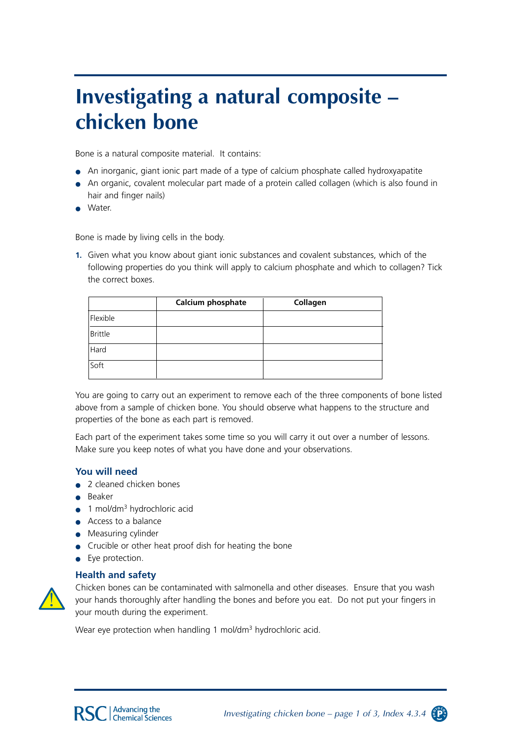# **Investigating a natural composite – chicken bone**

Bone is a natural composite material. It contains:

- An inorganic, giant ionic part made of a type of calcium phosphate called hydroxyapatite
- An organic, covalent molecular part made of a protein called collagen (which is also found in hair and finger nails)
- Water.

Bone is made by living cells in the body.

**1.** Given what you know about giant ionic substances and covalent substances, which of the following properties do you think will apply to calcium phosphate and which to collagen? Tick the correct boxes.

|                | Calcium phosphate | Collagen |
|----------------|-------------------|----------|
| Flexible       |                   |          |
| <b>Brittle</b> |                   |          |
| Hard           |                   |          |
| Soft           |                   |          |

You are going to carry out an experiment to remove each of the three components of bone listed above from a sample of chicken bone. You should observe what happens to the structure and properties of the bone as each part is removed.

Each part of the experiment takes some time so you will carry it out over a number of lessons. Make sure you keep notes of what you have done and your observations.

## **You will need**

- 2 cleaned chicken bones
- Beaker
- $\bullet$  1 mol/dm<sup>3</sup> hydrochloric acid
- Access to a balance
- Measuring cylinder
- Crucible or other heat proof dish for heating the bone
- Eye protection.

## **Health and safety**



Chicken bones can be contaminated with salmonella and other diseases. Ensure that you wash your hands thoroughly after handling the bones and before you eat. Do not put your fingers in your mouth during the experiment.

Wear eye protection when handling 1 mol/dm<sup>3</sup> hydrochloric acid.

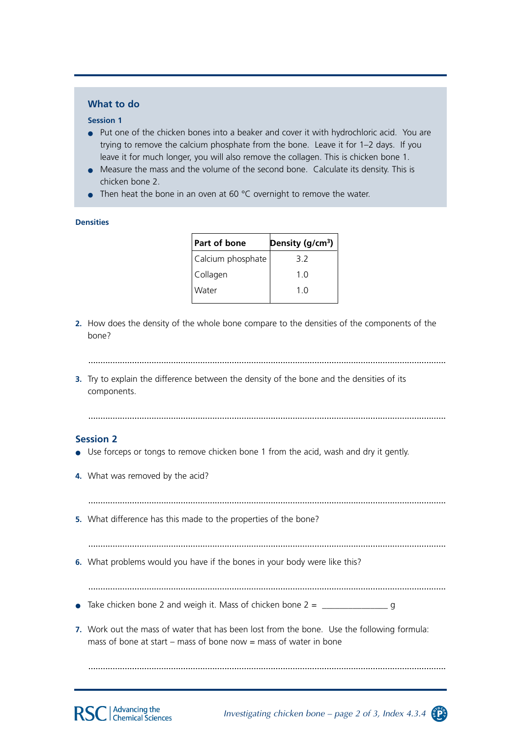# **What to do**

### **Session 1**

- Put one of the chicken bones into a beaker and cover it with hydrochloric acid. You are trying to remove the calcium phosphate from the bone. Leave it for 1–2 days. If you leave it for much longer, you will also remove the collagen. This is chicken bone 1.
- Measure the mass and the volume of the second bone. Calculate its density. This is chicken bone 2.
- Then heat the bone in an oven at 60  $\degree$ C overnight to remove the water.

### **Densities**

| Part of bone      | Density (g/cm <sup>3</sup> ) |
|-------------------|------------------------------|
| Calcium phosphate | 3.2                          |
| Collagen          | 1 O                          |
| Water             | 1 O                          |
|                   |                              |

- **2.** How does the density of the whole bone compare to the densities of the components of the bone?
	- ...................................................................................................................................................
- **3.** Try to explain the difference between the density of the bone and the densities of its components.

...................................................................................................................................................

# **Session 2**

- Use forceps or tongs to remove chicken bone 1 from the acid, wash and dry it gently.
- **4.** What was removed by the acid?

...................................................................................................................................................

**5.** What difference has this made to the properties of the bone?

...................................................................................................................................................

- **6.** What problems would you have if the bones in your body were like this?
- ...................................................................................................................................................
- Take chicken bone 2 and weigh it. Mass of chicken bone 2 = \_\_\_\_\_\_\_\_\_\_\_\_\_\_\_ g
- **7.** Work out the mass of water that has been lost from the bone. Use the following formula: mass of bone at start – mass of bone now  $=$  mass of water in bone

...................................................................................................................................................